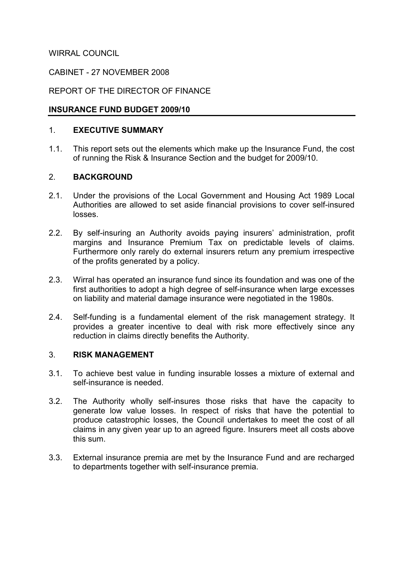WIRRAL COUNCIL

## CABINET - 27 NOVEMBER 2008

## REPORT OF THE DIRECTOR OF FINANCE

### INSURANCE FUND BUDGET 2009/10

#### 1. EXECUTIVE SUMMARY

1.1. This report sets out the elements which make up the Insurance Fund, the cost of running the Risk & Insurance Section and the budget for 2009/10.

## 2. BACKGROUND

- 2.1. Under the provisions of the Local Government and Housing Act 1989 Local Authorities are allowed to set aside financial provisions to cover self-insured losses.
- 2.2. By self-insuring an Authority avoids paying insurers' administration, profit margins and Insurance Premium Tax on predictable levels of claims. Furthermore only rarely do external insurers return any premium irrespective of the profits generated by a policy.
- 2.3. Wirral has operated an insurance fund since its foundation and was one of the first authorities to adopt a high degree of self-insurance when large excesses on liability and material damage insurance were negotiated in the 1980s.
- 2.4. Self-funding is a fundamental element of the risk management strategy. It provides a greater incentive to deal with risk more effectively since any reduction in claims directly benefits the Authority.

#### 3. RISK MANAGEMENT

- 3.1. To achieve best value in funding insurable losses a mixture of external and self-insurance is needed.
- 3.2. The Authority wholly self-insures those risks that have the capacity to generate low value losses. In respect of risks that have the potential to produce catastrophic losses, the Council undertakes to meet the cost of all claims in any given year up to an agreed figure. Insurers meet all costs above this sum.
- 3.3. External insurance premia are met by the Insurance Fund and are recharged to departments together with self-insurance premia.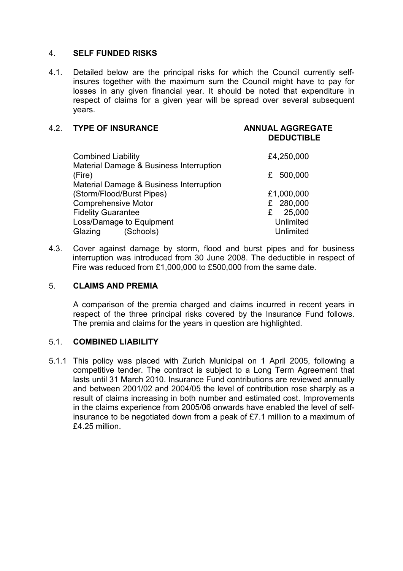#### 4. SELF FUNDED RISKS

4.1. Detailed below are the principal risks for which the Council currently selfinsures together with the maximum sum the Council might have to pay for losses in any given financial year. It should be noted that expenditure in respect of claims for a given year will be spread over several subsequent years.

| <b>DEDUCTIBLE</b>   |
|---------------------|
| £4,250,000          |
| 500,000             |
| £1,000,000          |
| £ 280,000<br>25,000 |
| Unlimited           |
| Unlimited           |

4.3. Cover against damage by storm, flood and burst pipes and for business interruption was introduced from 30 June 2008. The deductible in respect of Fire was reduced from £1,000,000 to £500,000 from the same date.

### 5. CLAIMS AND PREMIA

A comparison of the premia charged and claims incurred in recent years in respect of the three principal risks covered by the Insurance Fund follows. The premia and claims for the years in question are highlighted.

#### 5.1. COMBINED LIABILITY

5.1.1 This policy was placed with Zurich Municipal on 1 April 2005, following a competitive tender. The contract is subject to a Long Term Agreement that lasts until 31 March 2010. Insurance Fund contributions are reviewed annually and between 2001/02 and 2004/05 the level of contribution rose sharply as a result of claims increasing in both number and estimated cost. Improvements in the claims experience from 2005/06 onwards have enabled the level of selfinsurance to be negotiated down from a peak of £7.1 million to a maximum of £4.25 million.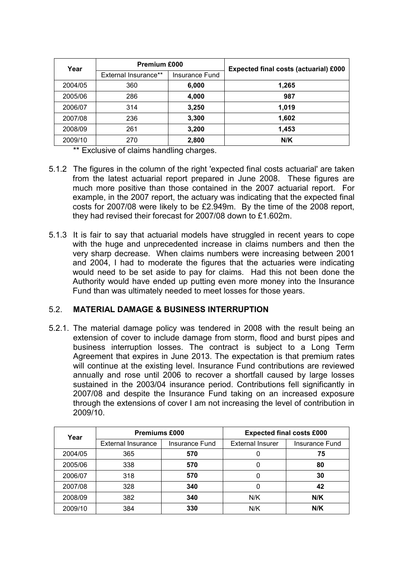| Year    | <b>Premium £000</b>         |                | <b>Expected final costs (actuarial) £000</b> |  |
|---------|-----------------------------|----------------|----------------------------------------------|--|
|         | <b>External Insurance**</b> | Insurance Fund |                                              |  |
| 2004/05 | 360                         | 6,000          | 1,265                                        |  |
| 2005/06 | 286                         | 4,000          | 987                                          |  |
| 2006/07 | 314                         | 3,250          | 1,019                                        |  |
| 2007/08 | 236                         | 3,300          | 1,602                                        |  |
| 2008/09 | 261                         | 3,200          | 1,453                                        |  |
| 2009/10 | 270                         | 2,800          | N/K                                          |  |

\*\* Exclusive of claims handling charges.

- 5.1.2 The figures in the column of the right 'expected final costs actuarial' are taken from the latest actuarial report prepared in June 2008. These figures are much more positive than those contained in the 2007 actuarial report. For example, in the 2007 report, the actuary was indicating that the expected final costs for 2007/08 were likely to be £2.949m. By the time of the 2008 report, they had revised their forecast for 2007/08 down to £1.602m.
- 5.1.3 It is fair to say that actuarial models have struggled in recent years to cope with the huge and unprecedented increase in claims numbers and then the very sharp decrease. When claims numbers were increasing between 2001 and 2004, I had to moderate the figures that the actuaries were indicating would need to be set aside to pay for claims. Had this not been done the Authority would have ended up putting even more money into the Insurance Fund than was ultimately needed to meet losses for those years.

# 5.2. MATERIAL DAMAGE & BUSINESS INTERRUPTION

5.2.1. The material damage policy was tendered in 2008 with the result being an extension of cover to include damage from storm, flood and burst pipes and business interruption losses. The contract is subject to a Long Term Agreement that expires in June 2013. The expectation is that premium rates will continue at the existing level. Insurance Fund contributions are reviewed annually and rose until 2006 to recover a shortfall caused by large losses sustained in the 2003/04 insurance period. Contributions fell significantly in 2007/08 and despite the Insurance Fund taking on an increased exposure through the extensions of cover I am not increasing the level of contribution in 2009/10.

| Year    | <b>Premiums £000</b>      |                | <b>Expected final costs £000</b> |                |  |
|---------|---------------------------|----------------|----------------------------------|----------------|--|
|         | <b>External Insurance</b> | Insurance Fund | <b>External Insurer</b>          | Insurance Fund |  |
| 2004/05 | 365                       | 570            |                                  | 75             |  |
| 2005/06 | 338                       | 570            |                                  | 80             |  |
| 2006/07 | 318                       | 570            |                                  | 30             |  |
| 2007/08 | 328                       | 340            | 0                                | 42             |  |
| 2008/09 | 382                       | 340            | N/K                              | N/K            |  |
| 2009/10 | 384                       | 330            | N/K                              | N/K            |  |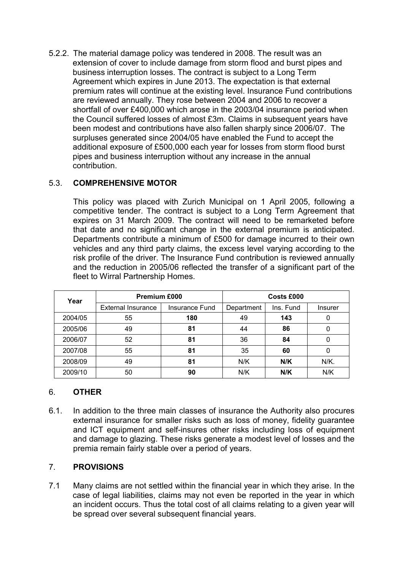5.2.2. The material damage policy was tendered in 2008. The result was an extension of cover to include damage from storm flood and burst pipes and business interruption losses. The contract is subject to a Long Term Agreement which expires in June 2013. The expectation is that external premium rates will continue at the existing level. Insurance Fund contributions are reviewed annually. They rose between 2004 and 2006 to recover a shortfall of over £400,000 which arose in the 2003/04 insurance period when the Council suffered losses of almost £3m. Claims in subsequent years have been modest and contributions have also fallen sharply since 2006/07. The surpluses generated since 2004/05 have enabled the Fund to accept the additional exposure of £500,000 each year for losses from storm flood burst pipes and business interruption without any increase in the annual contribution.

# 5.3. COMPREHENSIVE MOTOR

This policy was placed with Zurich Municipal on 1 April 2005, following a competitive tender. The contract is subject to a Long Term Agreement that expires on 31 March 2009. The contract will need to be remarketed before that date and no significant change in the external premium is anticipated. Departments contribute a minimum of £500 for damage incurred to their own vehicles and any third party claims, the excess level varying according to the risk profile of the driver. The Insurance Fund contribution is reviewed annually and the reduction in 2005/06 reflected the transfer of a significant part of the fleet to Wirral Partnership Homes.

| Year    | <b>Premium £000</b>       |                | Costs £000 |           |                |
|---------|---------------------------|----------------|------------|-----------|----------------|
|         | <b>External Insurance</b> | Insurance Fund | Department | Ins. Fund | <b>Insurer</b> |
| 2004/05 | 55                        | 180            | 49         | 143       |                |
| 2005/06 | 49                        | 81             | 44         | 86        |                |
| 2006/07 | 52                        | 81             | 36         | 84        |                |
| 2007/08 | 55                        | 81             | 35         | 60        |                |
| 2008/09 | 49                        | 81             | N/K        | N/K       | N/K.           |
| 2009/10 | 50                        | 90             | N/K        | N/K       | N/K            |

# 6. OTHER

6.1. In addition to the three main classes of insurance the Authority also procures external insurance for smaller risks such as loss of money, fidelity guarantee and ICT equipment and self-insures other risks including loss of equipment and damage to glazing. These risks generate a modest level of losses and the premia remain fairly stable over a period of years.

# 7. PROVISIONS

7.1 Many claims are not settled within the financial year in which they arise. In the case of legal liabilities, claims may not even be reported in the year in which an incident occurs. Thus the total cost of all claims relating to a given year will be spread over several subsequent financial years.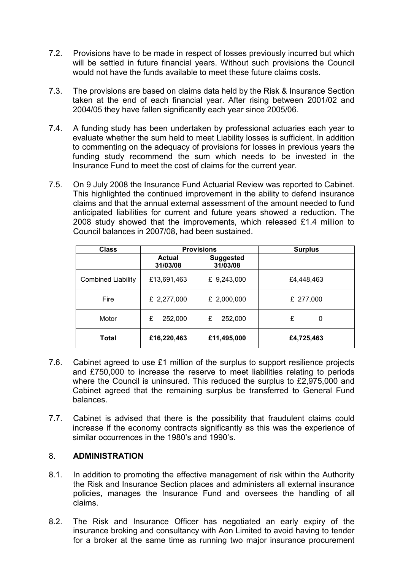- 7.2. Provisions have to be made in respect of losses previously incurred but which will be settled in future financial years. Without such provisions the Council would not have the funds available to meet these future claims costs.
- 7.3. The provisions are based on claims data held by the Risk & Insurance Section taken at the end of each financial year. After rising between 2001/02 and 2004/05 they have fallen significantly each year since 2005/06.
- 7.4. A funding study has been undertaken by professional actuaries each year to evaluate whether the sum held to meet Liability losses is sufficient. In addition to commenting on the adequacy of provisions for losses in previous years the funding study recommend the sum which needs to be invested in the Insurance Fund to meet the cost of claims for the current year.
- 7.5. On 9 July 2008 the Insurance Fund Actuarial Review was reported to Cabinet. This highlighted the continued improvement in the ability to defend insurance claims and that the annual external assessment of the amount needed to fund anticipated liabilities for current and future years showed a reduction. The 2008 study showed that the improvements, which released £1.4 million to Council balances in 2007/08, had been sustained.

| <b>Class</b>              |                           | <b>Provisions</b>            | <b>Surplus</b> |
|---------------------------|---------------------------|------------------------------|----------------|
|                           | <b>Actual</b><br>31/03/08 | <b>Suggested</b><br>31/03/08 |                |
| <b>Combined Liability</b> | £13,691,463               | £ 9,243,000                  | £4,448,463     |
| Fire                      | £ 2,277,000               | £ 2,000,000                  | £ 277,000      |
| Motor                     | 252,000<br>£              | 252,000<br>£                 | £<br>0         |
| <b>Total</b>              | £16,220,463               | £11,495,000                  | £4,725,463     |

- 7.6. Cabinet agreed to use £1 million of the surplus to support resilience projects and £750,000 to increase the reserve to meet liabilities relating to periods where the Council is uninsured. This reduced the surplus to £2,975,000 and Cabinet agreed that the remaining surplus be transferred to General Fund balances.
- 7.7. Cabinet is advised that there is the possibility that fraudulent claims could increase if the economy contracts significantly as this was the experience of similar occurrences in the 1980's and 1990's.

## 8. ADMINISTRATION

- 8.1. In addition to promoting the effective management of risk within the Authority the Risk and Insurance Section places and administers all external insurance policies, manages the Insurance Fund and oversees the handling of all claims.
- 8.2. The Risk and Insurance Officer has negotiated an early expiry of the insurance broking and consultancy with Aon Limited to avoid having to tender for a broker at the same time as running two major insurance procurement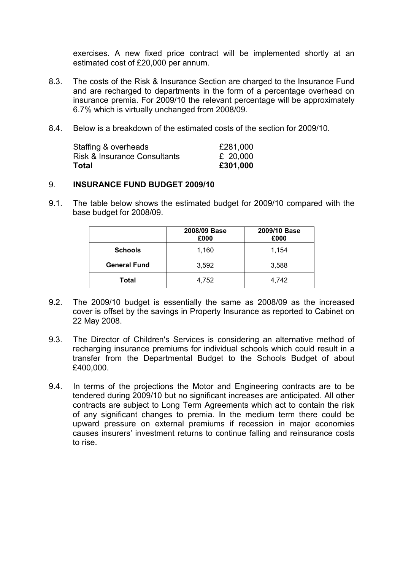exercises. A new fixed price contract will be implemented shortly at an estimated cost of £20,000 per annum.

- 8.3. The costs of the Risk & Insurance Section are charged to the Insurance Fund and are recharged to departments in the form of a percentage overhead on insurance premia. For 2009/10 the relevant percentage will be approximately 6.7% which is virtually unchanged from 2008/09.
- 8.4. Below is a breakdown of the estimated costs of the section for 2009/10.

| Total                        | £301,000 |
|------------------------------|----------|
| Risk & Insurance Consultants | £ 20,000 |
| Staffing & overheads         | £281,000 |

#### 9. INSURANCE FUND BUDGET 2009/10

9.1. The table below shows the estimated budget for 2009/10 compared with the base budget for 2008/09.

|                     | 2008/09 Base<br>£000 | 2009/10 Base<br>£000 |
|---------------------|----------------------|----------------------|
| <b>Schools</b>      | 1,160                | 1,154                |
| <b>General Fund</b> | 3,592                | 3,588                |
| Total               | 4,752                | 4,742                |

- 9.2. The 2009/10 budget is essentially the same as 2008/09 as the increased cover is offset by the savings in Property Insurance as reported to Cabinet on 22 May 2008.
- 9.3. The Director of Children's Services is considering an alternative method of recharging insurance premiums for individual schools which could result in a transfer from the Departmental Budget to the Schools Budget of about £400,000.
- 9.4. In terms of the projections the Motor and Engineering contracts are to be tendered during 2009/10 but no significant increases are anticipated. All other contracts are subject to Long Term Agreements which act to contain the risk of any significant changes to premia. In the medium term there could be upward pressure on external premiums if recession in major economies causes insurers' investment returns to continue falling and reinsurance costs to rise.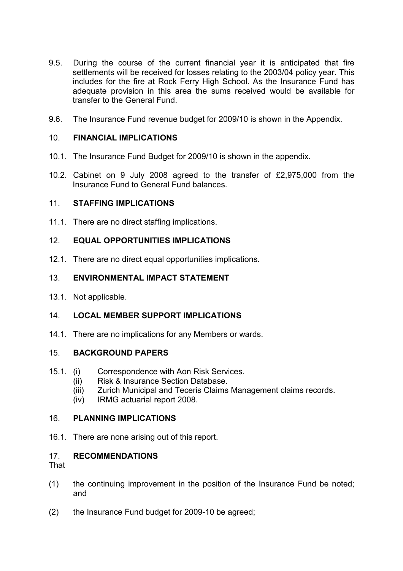- 9.5. During the course of the current financial year it is anticipated that fire settlements will be received for losses relating to the 2003/04 policy year. This includes for the fire at Rock Ferry High School. As the Insurance Fund has adequate provision in this area the sums received would be available for transfer to the General Fund.
- 9.6. The Insurance Fund revenue budget for 2009/10 is shown in the Appendix.

## 10. FINANCIAL IMPLICATIONS

- 10.1. The Insurance Fund Budget for 2009/10 is shown in the appendix.
- 10.2. Cabinet on 9 July 2008 agreed to the transfer of £2,975,000 from the Insurance Fund to General Fund balances.

## 11. STAFFING IMPLICATIONS

11.1. There are no direct staffing implications.

# 12. EQUAL OPPORTUNITIES IMPLICATIONS

12.1. There are no direct equal opportunities implications.

## 13. ENVIRONMENTAL IMPACT STATEMENT

13.1. Not applicable.

# 14. LOCAL MEMBER SUPPORT IMPLICATIONS

14.1. There are no implications for any Members or wards.

#### 15. BACKGROUND PAPERS

- 15.1. (i) Correspondence with Aon Risk Services.
	- (ii) Risk & Insurance Section Database.
	- (iii) Zurich Municipal and Teceris Claims Management claims records.
	- (iv) IRMG actuarial report 2008.

#### 16. PLANNING IMPLICATIONS

16.1. There are none arising out of this report.

# 17. RECOMMENDATIONS

That

- (1) the continuing improvement in the position of the Insurance Fund be noted; and
- (2) the Insurance Fund budget for 2009-10 be agreed;